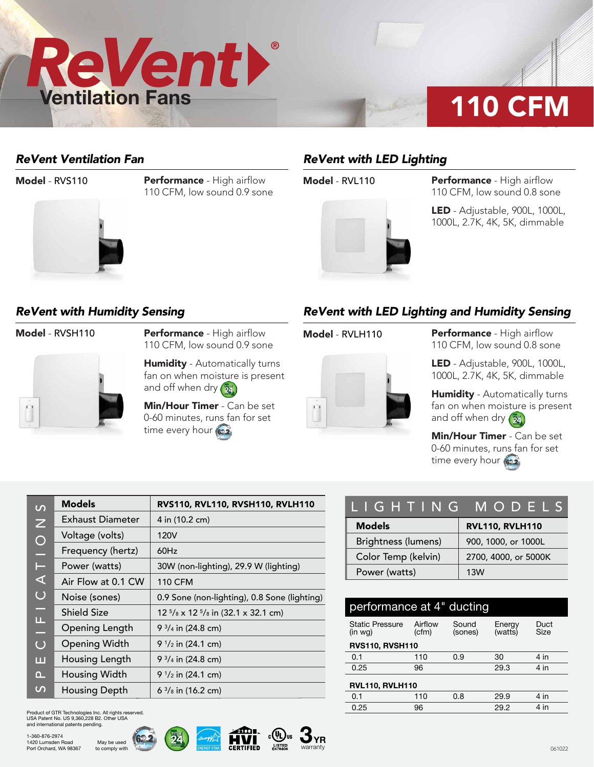

### *ReVent Ventilation Fan*



**Model - RVS110 Performance - High airflow** 110 CFM, low sound 0.9 sone

# *ReVent with LED Lighting*



**Model - RVL110 Performance - High airflow** 110 CFM, low sound 0.8 sone

> LED - Adjustable, 900L, 1000L, 1000L, 2.7K, 4K, 5K, dimmable

### *ReVent with Humidity Sensing*



Model - RVSH110 Performance - High airflow 110 CFM, low sound 0.9 sone

> **Humidity** - Automatically turns fan on when moisture is present and off when dry  $(\frac{m_{4}}{24})$

Min/Hour Timer - Can be set 0-60 minutes, runs fan for set time every hour (622)

## *ReVent with LED Lighting and Humidity Sensing*



**Model - RVLH110 Performance - High airflow** 110 CFM, low sound 0.8 sone

> LED - Adjustable, 900L, 1000L, 1000L, 2.7K, 4K, 5K, dimmable

Humidity - Automatically turns fan on when moisture is present and off when dry  $\left(\frac{m}{24}\right)$ 

Min/Hour Timer - Can be set 0-60 minutes, runs fan for set time every hour (622)

| $\Omega$       | <b>Models</b>        | RVS110, RVL110, RVSH110, RVLH110                       |
|----------------|----------------------|--------------------------------------------------------|
| $\overline{z}$ | Exhaust Diameter     | 4 in (10.2 cm)                                         |
| $\bigcirc$     | Voltage (volts)      | 120V                                                   |
| ۳              | Frequency (hertz)    | 60Hz                                                   |
| Е              | Power (watts)        | 30W (non-lighting), 29.9 W (lighting)                  |
| ⋖              | Air Flow at 0.1 CW   | <b>110 CFM</b>                                         |
| $\bigcup$      | Noise (sones)        | 0.9 Sone (non-lighting), 0.8 Sone (lighting)           |
| m.             | <b>Shield Size</b>   | $12\frac{5}{8}$ x 12 $\frac{5}{8}$ in (32.1 x 32.1 cm) |
| щ<br>٤         | Opening Length       | 9 $\frac{3}{4}$ in (24.8 cm)                           |
| $\overline{O}$ | <b>Opening Width</b> | 9 $\frac{1}{2}$ in (24.1 cm)                           |
| ш              | Housing Length       | 9 $\frac{3}{4}$ in (24.8 cm)                           |
| $\cap$         | Housing Width        | 9 $\frac{1}{2}$ in (24.1 cm)                           |
| $\mathcal{L}$  | <b>Housing Depth</b> | $6\frac{3}{8}$ in (16.2 cm)                            |

Product of GTR Technologies Inc. All rights reserved. USA Patent No. US 9,360,228 B2. Other USA and international patents pending.

> May be used to comply with







| LIGHTING MODELS     |                        |  |  |  |  |
|---------------------|------------------------|--|--|--|--|
| <b>Models</b>       | <b>RVL110, RVLH110</b> |  |  |  |  |
| Brightness (lumens) | 900, 1000, or 1000L    |  |  |  |  |
| Color Temp (kelvin) | 2700, 4000, or 5000K   |  |  |  |  |
| Power (watts)       | 13W                    |  |  |  |  |

| performance at 4" ducting         |                  |                  |                   |              |  |  |  |  |
|-----------------------------------|------------------|------------------|-------------------|--------------|--|--|--|--|
| <b>Static Pressure</b><br>(in wq) | Airflow<br>(cfm) | Sound<br>(sones) | Energy<br>(watts) | Duct<br>Size |  |  |  |  |
| <b>RVS110, RVSH110</b>            |                  |                  |                   |              |  |  |  |  |
| 0.1                               | 110              | 0.9              | 30                | $4$ in       |  |  |  |  |
| 0.25                              | 96               |                  | 29.3              | $4$ in       |  |  |  |  |
| <b>RVL110, RVLH110</b>            |                  |                  |                   |              |  |  |  |  |
| 0.1                               | 110              | 0.8              | 29.9              | $4$ in       |  |  |  |  |
| 0.25                              | 96               |                  | 29.2              | 4 in         |  |  |  |  |